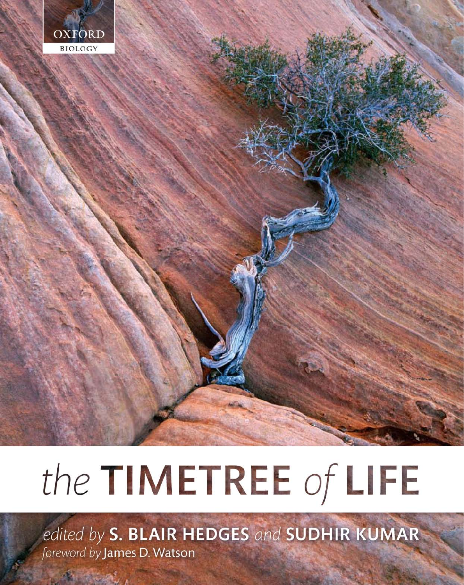

# the TIMETREE of LIFE

edited by S. BLAIR HEDGES and SUDHIR KUMAR foreword by James D. Watson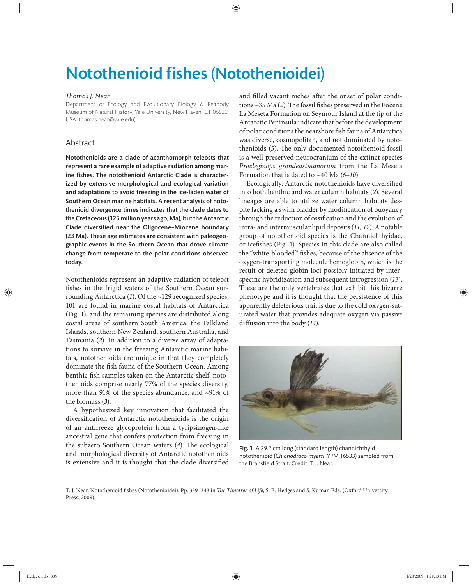# Notothenioid fishes (Notothenioidei)

#### *Thomas J. Near*

Department of Ecology and Evolutionary Biology & Peabody Museum of Natural History, Yale University, New Haven, CT 06520, USA (thomas.near@yale.edu)

# Abstract

Notothenioids are a clade of a canthomorph teleosts that represent a rare example of adaptive radiation among marine fishes. The notothenioid Antarctic Clade is characterized by extensive morphological and ecological variation and adaptations to avoid freezing in the ice-laden water of Southern Ocean marine habitats. A recent analysis of notothenioid divergence times indicates that the clade dates to the Cretaceous (125 million years ago, Ma), but the Antarctic Clade diversified near the Oligocene-Miocene boundary (23 Ma). These age estimates are consistent with paleogeographic events in the Southern Ocean that drove climate change from temperate to the polar conditions observed today.

Notothenioids represent an adaptive radiation of teleost fishes in the frigid waters of the Southern Ocean surrounding Antarctica (*1*). Of the ~129 recognized species, 101 are found in marine costal habitats of Antarctica (Fig. 1), and the remaining species are distributed along costal areas of southern South America, the Falkland Islands, southern New Zealand, southern Australia, and Tasmania (*2*). In addition to a diverse array of adaptations to survive in the freezing Antarctic marine habitats, notothenioids are unique in that they completely dominate the fish fauna of the Southern Ocean. Among benthic fish samples taken on the Antarctic shelf, notothenioids comprise nearly 77% of the species diversity, more than 91% of the species abundance, and ~91% of the biomass (*3*).

A hypothesized key innovation that facilitated the diversification of Antarctic notothenioids is the origin of an antifreeze glycoprotein from a tyripsinogen-like ancestral gene that confers protection from freezing in the subzero Southern Ocean waters (4). The ecological and morphological diversity of Antarctic notothenioids is extensive and it is thought that the clade diversified

and filled vacant niches after the onset of polar conditions ~35 Ma (2). The fossil fishes preserved in the Eocene La Meseta Formation on Seymour Island at the tip of the Antarctic Peninsula indicate that before the development of polar conditions the nearshore fish fauna of Antarctica was diverse, cosmopolitan, and not dominated by notothenioids (5). The only documented notothenioid fossil is a well-preserved neurocranium of the extinct species *Proeleginops grandeastmanorum* from the La Meseta Formation that is dated to ~40 Ma (*6–10*).

Ecologically, Antarctic notothenioids have diversified into both benthic and water column habitats (*2*). Several lineages are able to utilize water column habitats despite lacking a swim bladder by modification of buoyancy through the reduction of ossification and the evolution of intra- and intermuscular lipid deposits (*11, 12*). A notable group of notothenioid species is the Channichthyidae, or icefishes (Fig. 1). Species in this clade are also called the "white-blooded" fishes, because of the absence of the oxygen-transporting molecule hemoglobin, which is the result of deleted globin loci possibly initiated by interspecific hybridization and subsequent introgression (13). These are the only vertebrates that exhibit this bizarre phenotype and it is thought that the persistence of this apparently deleterious trait is due to the cold oxygen-saturated water that provides adequate oxygen via passive diffusion into the body (14).



Fig. 1 A 29.2 cm long (standard length) channichthyid notothenioid (*Chionodraco myersi*: YPM 16533) sampled from the Bransfield Strait. Credit: T. J. Near.

T. J. Near. Notothenioid fishes (Notothenioidei). Pp. 339-343 in *The Timetree of Life*, S. B. Hedges and S. Kumar, Eds. (Oxford University Press, 2009).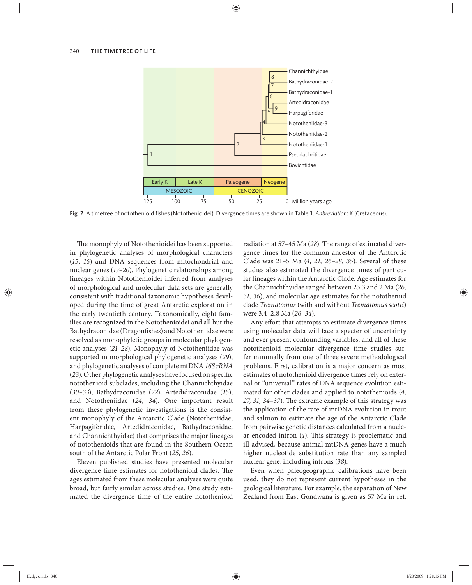

Fig. 2 A timetree of notothenioid fi shes (Notothenioidei). Divergence times are shown in Table 1. *Abbreviation*: K (Cretaceous).

The monophyly of Notothenioidei has been supported in phylogenetic analyses of morphological characters (*15, 16*) and DNA sequences from mitochondrial and nuclear genes (*17–20*). Phylogenetic relationships among lineages within Notothenioidei inferred from analyses of morphological and molecular data sets are generally consistent with traditional taxonomic hypotheses developed during the time of great Antarctic exploration in the early twentieth century. Taxonomically, eight families are recognized in the Notothenioidei and all but the Bathydraconidae (Dragonfishes) and Nototheniidae were resolved as monophyletic groups in molecular phylogenetic analyses (*21–28*). Monophyly of Nototheniidae was supported in morphological phylogenetic analyses (*29*), and phylogenetic analyses of complete mtDNA *16S rRNA* (23). Other phylogenetic analyses have focused on specific notothenioid subclades, including the Channichthyidae (*30–33*), Bathydraconidae (*22*), Artedidraconidae (*15*), and Nototheniidae (24, 34). One important result from these phylogenetic investigations is the consistent monophyly of the Antarctic Clade (Nototheniidae, Harpagiferidae, Artedidraconidae, Bathydraconidae, and Channichthyidae) that comprises the major lineages of notothenioids that are found in the Southern Ocean south of the Antarctic Polar Front (*25, 26*).

Eleven published studies have presented molecular divergence time estimates for notothenioid clades. The ages estimated from these molecular analyses were quite broad, but fairly similar across studies. One study estimated the divergence time of the entire notothenioid radiation at 57–45 Ma (28). The range of estimated divergence times for the common ancestor of the Antarctic Clade was 21–5 Ma (*4, 21, 26–28, 35*). Several of these studies also estimated the divergence times of particular lineages within the Antarctic Clade. Age estimates for the Channichthyidae ranged between 23.3 and 2 Ma (*26, 31, 36*), and molecular age estimates for the nototheniid clade *Trematomus* (with and without *Trematomus scotti*) were 3.4–2.8 Ma (*26, 34*).

Any effort that attempts to estimate divergence times using molecular data will face a specter of uncertainty and ever present confounding variables, and all of these notothenioid molecular divergence time studies suffer minimally from one of three severe methodological problems. First, calibration is a major concern as most estimates of notothenioid divergence times rely on external or "universal" rates of DNA sequence evolution estimated for other clades and applied to notothenioids (*4,*  27, 31, 34-37). The extreme example of this strategy was the application of the rate of mtDNA evolution in trout and salmon to estimate the age of the Antarctic Clade from pairwise genetic distances calculated from a nuclear-encoded intron (4). This strategy is problematic and ill-advised, because animal mtDNA genes have a much higher nucleotide substitution rate than any sampled nuclear gene, including introns (*38*).

Even when paleogeographic calibrations have been used, they do not represent current hypotheses in the geological literature. For example, the separation of New Zealand from East Gondwana is given as 57 Ma in ref.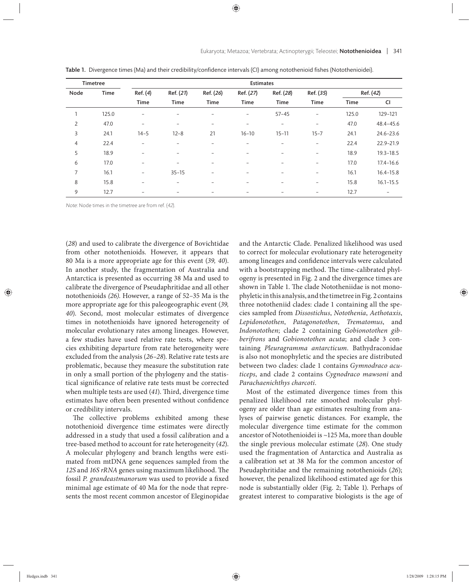| <b>Timetree</b> |             | <b>Estimates</b>         |                          |                   |                          |                          |                          |           |                   |
|-----------------|-------------|--------------------------|--------------------------|-------------------|--------------------------|--------------------------|--------------------------|-----------|-------------------|
| Node            | <b>Time</b> | Ref. (4)                 | Ref. (21)                | Ref. (26)         | Ref. (27)                | Ref. (28)                | Ref. (35)                | Ref. (42) |                   |
|                 |             | <b>Time</b>              | Time                     | Time              | Time                     | Time                     | <b>Time</b>              | Time      | <b>CI</b>         |
|                 | 125.0       | $\qquad \qquad -$        | -                        | $\qquad \qquad -$ | $\overline{\phantom{a}}$ | $57 - 45$                | $\overline{\phantom{a}}$ | 125.0     | 129-121           |
| $\overline{2}$  | 47.0        | $\overline{\phantom{0}}$ | -                        | $\qquad \qquad -$ | $\qquad \qquad -$        | $\qquad \qquad -$        | -                        | 47.0      | $48.4 - 45.6$     |
| 3               | 24.1        | $14 - 5$                 | $12 - 8$                 | 21                | $16 - 10$                | $15 - 11$                | $15 - 7$                 | 24.1      | $24.6 - 23.6$     |
| $\overline{4}$  | 22.4        | $\qquad \qquad -$        | -                        | $\qquad \qquad -$ | $\qquad \qquad -$        | -                        | -                        | 22.4      | $22.9 - 21.9$     |
| 5               | 18.9        |                          |                          |                   | $\overline{\phantom{0}}$ |                          | -                        | 18.9      | $19.3 - 18.5$     |
| 6               | 17.0        |                          |                          |                   | $\overline{\phantom{0}}$ |                          | -                        | 17.0      | $17.4 - 16.6$     |
| 7               | 16.1        | $\overline{\phantom{a}}$ | $35 - 15$                | $\qquad \qquad -$ | $\overline{\phantom{a}}$ | $\overline{\phantom{m}}$ | $\qquad \qquad -$        | 16.1      | $16.4 - 15.8$     |
| 8               | 15.8        | $\qquad \qquad -$        | $\overline{\phantom{0}}$ | $\qquad \qquad -$ | $\overline{\phantom{0}}$ | $\qquad \qquad -$        | -                        | 15.8      | $16.1 - 15.5$     |
| 9               | 12.7        |                          | -                        |                   | $\qquad \qquad =$        |                          |                          | 12.7      | $\qquad \qquad -$ |

Table 1. Divergence times (Ma) and their credibility/confidence intervals (CI) among notothenioid fishes (Notothenioidei).

Note: Node times in the timetree are from ref. (42).

(*28*) and used to calibrate the divergence of Bovichtidae from other notothenioids. However, it appears that 80 Ma is a more appropriate age for this event (*39, 40*). In another study, the fragmentation of Australia and Antarctica is presented as occurring 38 Ma and used to calibrate the divergence of Pseudaphritidae and all other notothenioids *(26)*. However, a range of 52–35 Ma is the more appropriate age for this paleogeographic event (*39, 40*). Second, most molecular estimates of divergence times in notothenioids have ignored heterogeneity of molecular evolutionary rates among lineages. However, a few studies have used relative rate tests, where species exhibiting departure from rate heterogeneity were excluded from the analysis (*26–28*). Relative rate tests are problematic, because they measure the substitution rate in only a small portion of the phylogeny and the statistical significance of relative rate tests must be corrected when multiple tests are used (41). Third, divergence time estimates have often been presented without confidence or credibility intervals.

The collective problems exhibited among these notothenioid divergence time estimates were directly addressed in a study that used a fossil calibration and a tree-based method to account for rate heterogeneity (*42*). A molecular phylogeny and branch lengths were estimated from mtDNA gene sequences sampled from the 12S and 16S rRNA genes using maximum likelihood. The fossil *P. grandeastmanorum* was used to provide a fixed minimal age estimate of 40 Ma for the node that represents the most recent common ancestor of Eleginopidae

and the Antarctic Clade. Penalized likelihood was used to correct for molecular evolutionary rate heterogeneity among lineages and confidence intervals were calculated with a bootstrapping method. The time-calibrated phylogeny is presented in Fig. 2 and the divergence times are shown in Table 1. The clade Nototheniidae is not monophyletic in this analysis, and the timetree in Fig. 2 contains three nototheniid clades: clade 1 containing all the species sampled from *Dissostichus*, *Notothenia*, *Aethotaxis*, *Lepidonotothen*, *Patagonotothen*, *Trematomus*, and *Indonotothen*; clade 2 containing *Gobionotothen gibberifrons* and *Gobionotothen acuta*; and clade 3 containing *Pleuragramma antarcticum*. Bathydraconidae is also not monophyletic and the species are distributed between two clades: clade 1 contains *Gymnodraco acuticeps*, and clade 2 contains *Cygnodraco mawsoni* and *Parachaenichthys charcoti*.

Most of the estimated divergence times from this penalized likelihood rate smoothed molecular phylogeny are older than age estimates resulting from analyses of pairwise genetic distances. For example, the molecular divergence time estimate for the common ancestor of Notothenioidei is ~125 Ma, more than double the single previous molecular estimate (*28*). One study used the fragmentation of Antarctica and Australia as a calibration set at 38 Ma for the common ancestor of Pseudaphritidae and the remaining notothenioids (*26*); however, the penalized likelihood estimated age for this node is substantially older (Fig. 2; Table 1). Perhaps of greatest interest to comparative biologists is the age of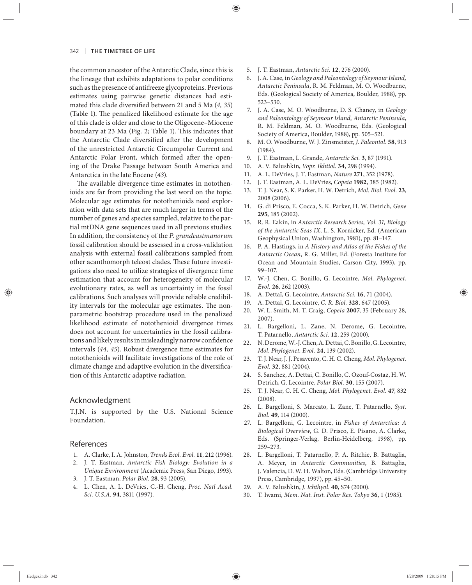the common ancestor of the Antarctic Clade, since this is the lineage that exhibits adaptations to polar conditions such as the presence of antifreeze glycoproteins. Previous estimates using pairwise genetic distances had estimated this clade diversified between 21 and 5 Ma (4, 35) (Table 1). The penalized likelihood estimate for the age of this clade is older and close to the Oligocene–Miocene boundary at 23 Ma (Fig. 2; Table 1). This indicates that the Antarctic Clade diversified after the development of the unrestricted Antarctic Circumpolar Current and Antarctic Polar Front, which formed after the opening of the Drake Passage between South America and Antarctica in the late Eocene (*43*).

The available divergence time estimates in notothenioids are far from providing the last word on the topic. Molecular age estimates for notothenioids need exploration with data sets that are much larger in terms of the number of genes and species sampled, relative to the partial mtDNA gene sequences used in all previous studies. In addition, the consistency of the *P. grandeastmanorum* fossil calibration should be assessed in a cross-validation analysis with external fossil calibrations sampled from other acanthomorph teleost clades. These future investigations also need to utilize strategies of divergence time estimation that account for heterogeneity of molecular evolutionary rates, as well as uncertainty in the fossil calibrations. Such analyses will provide reliable credibility intervals for the molecular age estimates. The nonparametric bootstrap procedure used in the penalized likelihood estimate of notothenioid divergence times does not account for uncertainties in the fossil calibrations and likely results in misleadingly narrow confidence intervals (*44, 45*). Robust divergence time estimates for notothenioids will facilitate investigations of the role of climate change and adaptive evolution in the diversification of this Antarctic adaptive radiation.

## Acknowledgment

T.J.N. is supported by the U.S. National Science Foundation.

## References

- 1. A. Clarke, I. A. Johnston, *Trends Ecol. Evol.* **11**, 212 (1996).
- 2. J. T. Eastman, *Antarctic Fish Biology: Evolution in a Unique Environment* (Academic Press, San Diego, 1993).
- 3. J. T. Eastman, *Polar Biol.* **28**, 93 (2005).
- 4. L. Chen, A. L. DeVries, C.-H. Cheng, *Proc. Natl Acad. Sci. U.S.A.* **94**, 3811 (1997).
- 5. J. T. Eastman, *Antarctic Sci.* **12**, 276 (2000).
- 6. J. A. Case, in *Geology and Paleontology of Seymour Island, Antarctic Peninsula*, R. M. Feldman, M. O. Woodburne, Eds. (Geological Society of America, Boulder, 1988), pp. 523–530.
- 7. J. A. Case, M. O. Woodburne, D. S. Chaney, in *Geology and Paleontology of Seymour Island, Antarctic Peninsula*, R. M. Feldman, M. O. Woodburne, Eds. (Geological Society of America, Boulder, 1988), pp. 505–521.
- 8. M. O. Woodburne, W. J. Zinsmeister, *J. Paleontol.* **58**, 913 (1984).
- 9. J. T. Eastman, L. Grande, *Antarctic Sci.* **3**, 87 (1991).
- 10. A. V. Balushkin, *Vopr. Ikhtiol.* **34**, 298 (1994).
- 11. A. L. DeVries, J. T. Eastman, *Nature* **271**, 352 (1978).
- 12. J. T. Eastman, A. L. DeVries, *Copeia* **1982**, 385 (1982).
- 13. T. J. Near, S. K. Parker, H. W. Detrich, *Mol. Biol. Evol.* **23**, 2008 (2006).
- 14. G. di Prisco, E. Cocca, S. K. Parker, H. W. Detrich, *Gene* **295**, 185 (2002).
- 15. R. R. Eakin, in *Antarctic Research Series, Vol. 31, Biology of the Antarctic Seas IX*, L. S. Kornicker, Ed. (American Geophysical Union, Washington, 1981), pp. 81–147.
- 16. P. A. Hastings, in *A History and Atlas of the Fishes of the Antarctic Ocean*, R. G. Miller, Ed. (Foresta Institute for Ocean and Mountain Studies, Carson City, 1993), pp. 99–107.
- 17. W.-J. Chen, C. Bonillo, G. Lecointre, *Mol. Phylogenet. Evol.* **26**, 262 (2003).
- 18. A. Dettaï, G. Lecointre, *Antarctic Sci.* **16**, 71 (2004).
- 19. A. Dettaï, G. Lecointre, *C. R. Biol.* **328**, 647 (2005).
- 20. W. L. Smith, M. T. Craig, *Copeia* **2007**, 35 (February 28, 2007).
- 21. L. Bargelloni, L. Zane, N. Derome, G. Lecointre, T. Patarnello, *Antarctic Sci.* **12**, 259 (2000).
- 22. N. Derome, W.-J. Chen, A. Dettai, C. Bonillo, G. Lecointre, *Mol. Phylogenet. Evol.* **24**, 139 (2002).
- 23. T. J. Near, J. J. Pesavento, C. H. C. Cheng, *Mol. Phylogenet. Evol.* **32**, 881 (2004).
- 24. S. Sanchez, A. Dettai, C. Bonillo, C. Ozouf-Costaz, H. W. Detrich, G. Lecointre, *Polar Biol.* **30**, 155 (2007).
- 25. T. J. Near, C. H. C. Cheng, *Mol. Phylogenet. Evol.* **47**, 832 (2008).
- 26. L. Bargelloni, S. Marcato, L. Zane, T. Patarnello, *Syst. Biol.* **49**, 114 (2000).
- 27. L. Bargelloni, G. Lecointre, in *Fishes of Antarctica: A Biological Overview*, G. D. Prisco, E. Pisano, A. Clarke, Eds. (Springer-Verlag, Berlin-Heidelberg, 1998), pp. 259–273.
- 28. L. Bargelloni, T. Patarnello, P. A. Ritchie, B. Battaglia, A. Meyer, in *Antarctic Communities*, B. Battaglia, J. Valencia, D. W. H. Walton, Eds. (Cambridge University Press, Cambridge, 1997), pp. 45–50.
- 29. A. V. Balushkin, *J. Ichthyol.* **40**, S74 (2000).
- 30. T. Iwami, *Mem. Nat. Inst. Polar Res. Tokyo* **36**, 1 (1985).